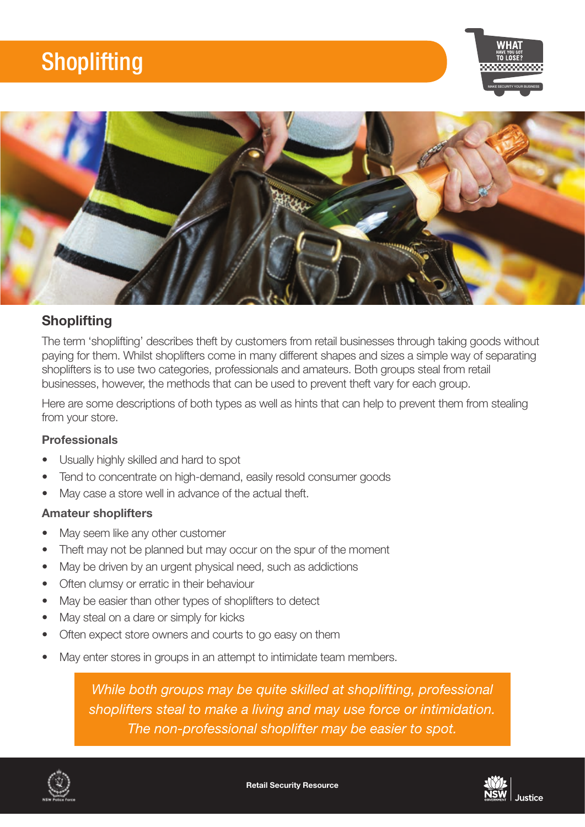# **Shoplifting**





### **Shoplifting**

The term 'shoplifting' describes theft by customers from retail businesses through taking goods without paying for them. Whilst shoplifters come in many different shapes and sizes a simple way of separating shoplifters is to use two categories, professionals and amateurs. Both groups steal from retail businesses, however, the methods that can be used to prevent theft vary for each group.

Here are some descriptions of both types as well as hints that can help to prevent them from stealing from your store.

### Professionals

- Usually highly skilled and hard to spot
- Tend to concentrate on high-demand, easily resold consumer goods
- May case a store well in advance of the actual theft.

### Amateur shoplifters

- May seem like any other customer
- Theft may not be planned but may occur on the spur of the moment
- May be driven by an urgent physical need, such as addictions
- Often clumsy or erratic in their behaviour
- May be easier than other types of shoplifters to detect
- May steal on a dare or simply for kicks
- Often expect store owners and courts to go easy on them
- May enter stores in groups in an attempt to intimidate team members.

*While both groups may be quite skilled at shoplifting, professional shoplifters steal to make a living and may use force or intimidation. The non-professional shoplifter may be easier to spot.*

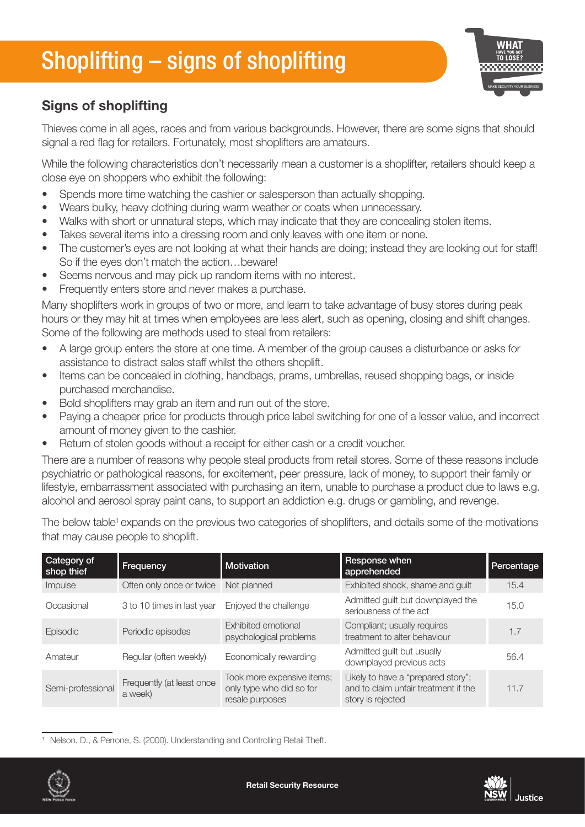# Shoplifting – signs of shoplifting



## Signs of shoplifting

Thieves come in all ages, races and from various backgrounds. However, there are some signs that should signal a red flag for retailers. Fortunately, most shoplifters are amateurs.

While the following characteristics don't necessarily mean a customer is a shoplifter, retailers should keep a close eye on shoppers who exhibit the following:

- Spends more time watching the cashier or salesperson than actually shopping.
- Wears bulky, heavy clothing during warm weather or coats when unnecessary.
- Walks with short or unnatural steps, which may indicate that they are concealing stolen items.
- Takes several items into a dressing room and only leaves with one item or none.
- The customer's eyes are not looking at what their hands are doing; instead they are looking out for staff! So if the eyes don't match the action…beware!
- Seems nervous and may pick up random items with no interest.
- Frequently enters store and never makes a purchase.

Many shoplifters work in groups of two or more, and learn to take advantage of busy stores during peak hours or they may hit at times when employees are less alert, such as opening, closing and shift changes. Some of the following are methods used to steal from retailers:

- A large group enters the store at one time. A member of the group causes a disturbance or asks for assistance to distract sales staff whilst the others shoplift.
- Items can be concealed in clothing, handbags, prams, umbrellas, reused shopping bags, or inside purchased merchandise.
- Bold shoplifters may grab an item and run out of the store.
- Paying a cheaper price for products through price label switching for one of a lesser value, and incorrect amount of money given to the cashier.
- Return of stolen goods without a receipt for either cash or a credit voucher.

There are a number of reasons why people steal products from retail stores. Some of these reasons include psychiatric or pathological reasons, for excitement, peer pressure, lack of money, to support their family or lifestyle, embarrassment associated with purchasing an item, unable to purchase a product due to laws e.g. alcohol and aerosol spray paint cans, to support an addiction e.g. drugs or gambling, and revenge.

The below table<sup>1</sup> expands on the previous two categories of shoplifters, and details some of the motivations that may cause people to shoplift.

| Category of<br>shop thief | Frequency                            | <b>Motivation</b>                                                         | Response when<br>apprehended                                                                    | Percentage |
|---------------------------|--------------------------------------|---------------------------------------------------------------------------|-------------------------------------------------------------------------------------------------|------------|
| Impulse                   | Often only once or twice             | Not planned                                                               | Exhibited shock, shame and guilt                                                                | 15.4       |
| Occasional                | 3 to 10 times in last year           | Enjoyed the challenge                                                     | Admitted guilt but downplayed the<br>seriousness of the act                                     | 15.0       |
| Episodic                  | Periodic episodes                    | Exhibited emotional<br>psychological problems                             | Compliant; usually requires<br>treatment to alter behaviour                                     | 1.7        |
| Amateur                   | Regular (often weekly)               | Economically rewarding                                                    | Admitted guilt but usually<br>downplayed previous acts                                          | 56.4       |
| Semi-professional         | Frequently (at least once<br>a week) | Took more expensive items;<br>only type who did so for<br>resale purposes | Likely to have a "prepared story";<br>and to claim unfair treatment if the<br>story is rejected | 11.7       |

<sup>1</sup> Nelson, D., & Perrone, S. (2000). Understanding and Controlling Retail Theft.

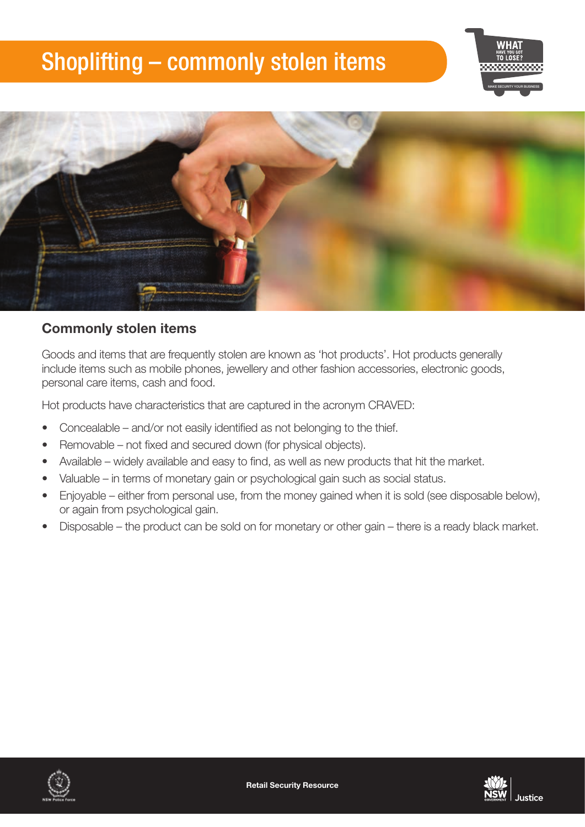## Shoplifting – commonly stolen items





### Commonly stolen items

Goods and items that are frequently stolen are known as 'hot products'. Hot products generally include items such as mobile phones, jewellery and other fashion accessories, electronic goods, personal care items, cash and food.

Hot products have characteristics that are captured in the acronym CRAVED:

- Concealable and/or not easily identified as not belonging to the thief.
- Removable not fixed and secured down (for physical objects).
- Available widely available and easy to find, as well as new products that hit the market.
- Valuable in terms of monetary gain or psychological gain such as social status.
- Enjoyable either from personal use, from the money gained when it is sold (see disposable below), or again from psychological gain.
- Disposable the product can be sold on for monetary or other gain there is a ready black market.